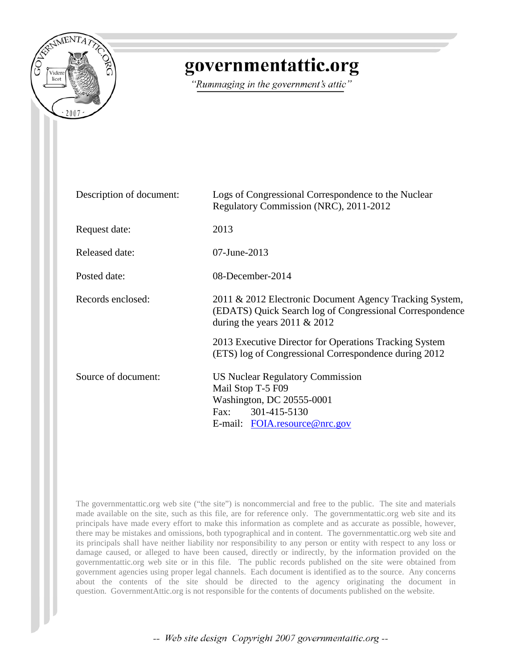

## governmentattic.org

"Rummaging in the government's attic"

| Description of document: | Logs of Congressional Correspondence to the Nuclear<br>Regulatory Commission (NRC), 2011-2012                                                          |
|--------------------------|--------------------------------------------------------------------------------------------------------------------------------------------------------|
| Request date:            | 2013                                                                                                                                                   |
| <b>Released date:</b>    | $07$ -June-2013                                                                                                                                        |
| Posted date:             | 08-December-2014                                                                                                                                       |
| Records enclosed:        | 2011 & 2012 Electronic Document Agency Tracking System,<br>(EDATS) Quick Search log of Congressional Correspondence<br>during the years $2011 \& 2012$ |
|                          | 2013 Executive Director for Operations Tracking System<br>(ETS) log of Congressional Correspondence during 2012                                        |
| Source of document:      | <b>US Nuclear Regulatory Commission</b><br>Mail Stop T-5 F09<br>Washington, DC 20555-0001<br>Fax: 301-415-5130<br>E-mail: FOIA.resource@nrc.gov        |

The governmentattic.org web site ("the site") is noncommercial and free to the public. The site and materials made available on the site, such as this file, are for reference only. The governmentattic.org web site and its principals have made every effort to make this information as complete and as accurate as possible, however, there may be mistakes and omissions, both typographical and in content. The governmentattic.org web site and its principals shall have neither liability nor responsibility to any person or entity with respect to any loss or damage caused, or alleged to have been caused, directly or indirectly, by the information provided on the governmentattic.org web site or in this file. The public records published on the site were obtained from government agencies using proper legal channels. Each document is identified as to the source. Any concerns about the contents of the site should be directed to the agency originating the document in question. GovernmentAttic.org is not responsible for the contents of documents published on the website.

-- Web site design Copyright 2007 governmentattic.org --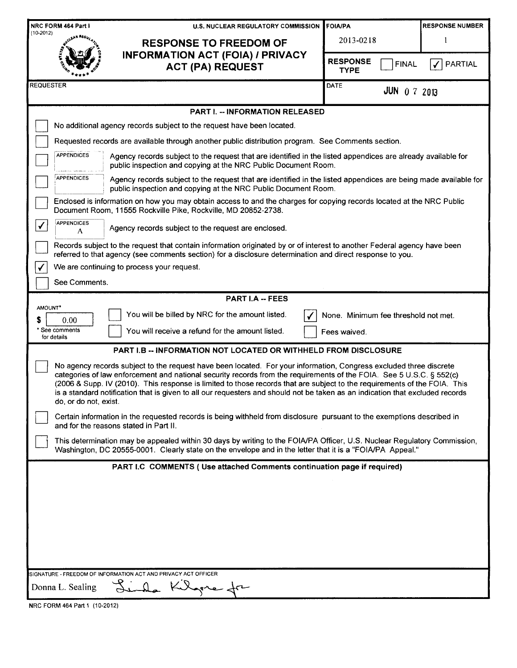| NRC FORM 464 Part I                    | <b>U.S. NUCLEAR REGULATORY COMMISSION</b>                                                                                                                                                                                                                                                                                                                                                                                                                                                                | <b>FOIA/PA</b>                                 | <b>RESPONSE NUMBER</b> |
|----------------------------------------|----------------------------------------------------------------------------------------------------------------------------------------------------------------------------------------------------------------------------------------------------------------------------------------------------------------------------------------------------------------------------------------------------------------------------------------------------------------------------------------------------------|------------------------------------------------|------------------------|
| $(10-2012)$                            | <b>RESPONSE TO FREEDOM OF</b>                                                                                                                                                                                                                                                                                                                                                                                                                                                                            | 2013-0218                                      | 1                      |
|                                        | <b>INFORMATION ACT (FOIA) / PRIVACY</b><br><b>ACT (PA) REQUEST</b>                                                                                                                                                                                                                                                                                                                                                                                                                                       | <b>RESPONSE</b><br><b>FINAL</b><br><b>TYPE</b> | <b>PARTIAL</b>         |
| <b>REQUESTER</b>                       |                                                                                                                                                                                                                                                                                                                                                                                                                                                                                                          | DATE<br><b>JUN 0 7 2013</b>                    |                        |
|                                        | <b>PART I. - INFORMATION RELEASED</b>                                                                                                                                                                                                                                                                                                                                                                                                                                                                    |                                                |                        |
|                                        | No additional agency records subject to the request have been located.                                                                                                                                                                                                                                                                                                                                                                                                                                   |                                                |                        |
|                                        | Requested records are available through another public distribution program. See Comments section.                                                                                                                                                                                                                                                                                                                                                                                                       |                                                |                        |
| <b>APPENDICES</b>                      | Agency records subject to the request that are identified in the listed appendices are already available for<br>public inspection and copying at the NRC Public Document Room.                                                                                                                                                                                                                                                                                                                           |                                                |                        |
| <b>APPENDICES</b>                      | Agency records subject to the request that are identified in the listed appendices are being made available for<br>public inspection and copying at the NRC Public Document Room.                                                                                                                                                                                                                                                                                                                        |                                                |                        |
|                                        | Enclosed is information on how you may obtain access to and the charges for copying records located at the NRC Public<br>Document Room, 11555 Rockville Pike, Rockville, MD 20852-2738.                                                                                                                                                                                                                                                                                                                  |                                                |                        |
| <b>APPENDICES</b><br>$\checkmark$<br>A | Agency records subject to the request are enclosed.                                                                                                                                                                                                                                                                                                                                                                                                                                                      |                                                |                        |
|                                        | Records subject to the request that contain information originated by or of interest to another Federal agency have been<br>referred to that agency (see comments section) for a disclosure determination and direct response to you.                                                                                                                                                                                                                                                                    |                                                |                        |
| $\checkmark$                           | We are continuing to process your request.                                                                                                                                                                                                                                                                                                                                                                                                                                                               |                                                |                        |
| See Comments.                          |                                                                                                                                                                                                                                                                                                                                                                                                                                                                                                          |                                                |                        |
|                                        | <b>PART I.A -- FEES</b>                                                                                                                                                                                                                                                                                                                                                                                                                                                                                  |                                                |                        |
| AMOUNT*<br>S<br>0.00                   | You will be billed by NRC for the amount listed.                                                                                                                                                                                                                                                                                                                                                                                                                                                         | None. Minimum fee threshold not met.           |                        |
| * See comments<br>for details          | You will receive a refund for the amount listed.                                                                                                                                                                                                                                                                                                                                                                                                                                                         | Fees waived.                                   |                        |
|                                        | <b>PART I.B -- INFORMATION NOT LOCATED OR WITHHELD FROM DISCLOSURE</b>                                                                                                                                                                                                                                                                                                                                                                                                                                   |                                                |                        |
| do, or do not, exist.                  | No agency records subject to the request have been located. For your information, Congress excluded three discrete<br>categories of law enforcement and national security records from the requirements of the FOIA. See 5 U.S.C. § 552(c)<br>(2006 & Supp. IV (2010). This response is limited to those records that are subject to the requirements of the FOIA. This<br>is a standard notification that is given to all our requesters and should not be taken as an indication that excluded records |                                                |                        |
|                                        | Certain information in the requested records is being withheld from disclosure pursuant to the exemptions described in<br>and for the reasons stated in Part II.                                                                                                                                                                                                                                                                                                                                         |                                                |                        |
|                                        | This determination may be appealed within 30 days by writing to the FOIA/PA Officer, U.S. Nuclear Regulatory Commission,<br>Washington, DC 20555-0001. Clearly state on the envelope and in the letter that it is a "FOIA/PA Appeal."                                                                                                                                                                                                                                                                    |                                                |                        |
|                                        | PART I.C COMMENTS (Use attached Comments continuation page if required)                                                                                                                                                                                                                                                                                                                                                                                                                                  |                                                |                        |
|                                        |                                                                                                                                                                                                                                                                                                                                                                                                                                                                                                          |                                                |                        |
| Donna L. Sealing                       | SIGNATURE - FREEDOM OF INFORMATION ACT AND PRIVACY ACT OFFICER<br>Linda Kilgre for                                                                                                                                                                                                                                                                                                                                                                                                                       |                                                |                        |

NRC FORM 464 Part 1 (10-2012)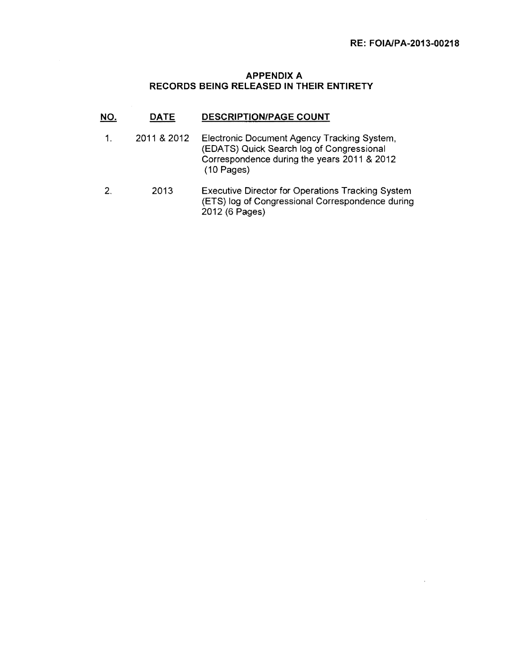#### **APPENDIX A RECORDS BEING RELEASED IN THEIR ENTIRETY**

#### **NO. DATE DESCRIPTION/PAGE COUNT**

- 1. 2011 & 2012 Electronic Document Agency Tracking System, (EDA TS) Quick Search log of Congressional Correspondence during the years 2011 & 2012 (10 Pages)
- 2. 2013 Executive Director for Operations Tracking System (ETS} log of Congressional Correspondence during 2012 {6 Pages}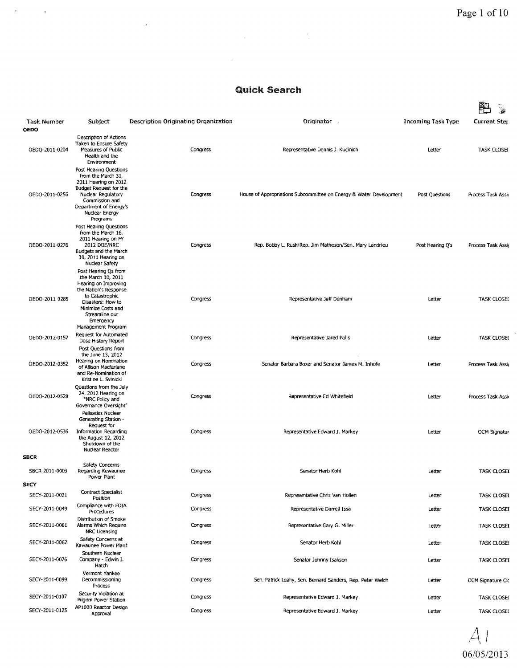#### Quick Search

 $\mathcal{A}^{\text{out}}$ 

 $\label{eq:2.1} \frac{d\mathbf{r}}{d\mathbf{r}} = \frac{1}{\sqrt{2\pi}}\sum_{i=1}^n \frac{d\mathbf{r}}{d\mathbf{r}} \frac{d\mathbf{r}}{d\mathbf{r}} \frac{d\mathbf{r}}{d\mathbf{r}} \frac{d\mathbf{r}}{d\mathbf{r}} \frac{d\mathbf{r}}{d\mathbf{r}} \frac{d\mathbf{r}}{d\mathbf{r}} \frac{d\mathbf{r}}{d\mathbf{r}} \frac{d\mathbf{r}}{d\mathbf{r}} \frac{d\mathbf{r}}{d\mathbf{r}} \frac{d\mathbf{r$ 

 $\label{eq:2.1} \frac{1}{\sqrt{2}}\int_{\mathbb{R}^3} \left|\frac{d\mathbf{x}}{d\mathbf{x}}\right|^2 \, d\mathbf{x} \, d\mathbf{x} \, d\mathbf{x} \, d\mathbf{x} \, d\mathbf{x} \, d\mathbf{x} \, d\mathbf{x} \, d\mathbf{x} \, d\mathbf{x} \, d\mathbf{x} \, d\mathbf{x} \, d\mathbf{x} \, d\mathbf{x} \, d\mathbf{x} \, d\mathbf{x} \, d\mathbf{x} \, d\mathbf{x} \, d\mathbf{x} \, d\mathbf{x} \, d\mathbf{x} \, d\mathbf{x$ 

 $\sim$   $^{\circ}$ 

|                            |                                                                                                                                                                                                |                                      |                                                                    |                           | E.                  |
|----------------------------|------------------------------------------------------------------------------------------------------------------------------------------------------------------------------------------------|--------------------------------------|--------------------------------------------------------------------|---------------------------|---------------------|
| Task Number<br><b>OEDO</b> | Subject                                                                                                                                                                                        | Description Originating Organization | Originator                                                         | <b>Incoming Task Type</b> | <b>Current Step</b> |
| OEDO-2011-0204             | Description of Actions<br>Taken to Ensure Safety<br>Measures of Public<br>Health and the<br>Environment                                                                                        | Congress                             | Representative Dennis J. Kucinich                                  | Letter                    | <b>TASK CLOSEI</b>  |
| OEDO-2011-0256             | Post Hearing Questions<br>from the March 31,<br>2011 Hearing on 2012<br>Budget Request for the<br>Nuclear Regulatory<br>Commission and<br>Department of Energy's<br>Nuclear Energy<br>Programs | Congress                             | House of Appropriations Subcommittee on Energy & Water Development | Post Questions            | Process Task Assi   |
| OEDO-2011-0276             | Post Hearing Questions<br>from the March 16,<br>2011 Hearing on FY<br>2012 DOE/NRC<br>Budgets and the March<br>30, 2011 Hearing on<br>Nuclear Safety                                           | Congress                             | Rep. Bobby L. Rush/Rep. Jim Matheson/Sen. Mary Landrieu            | Post Hearing Q's          | Process Task Assir  |
| OEDO-2011-0285             | Post Hearing Qs from<br>the March 30, 2011<br>Hearing on Improving<br>the Nation's Response<br>to Catastrophic<br>Disasters: How to<br>Minimize Costs and<br>Streamline our<br>Emergency       | Congress                             | Representative Jeff Denham                                         | Letter                    | <b>TASK CLOSE!</b>  |
| OEDO-2012-0157             | Management Program<br><b>Request for Automated</b><br>Dose History Report                                                                                                                      | Congress                             | Representative Jared Polis                                         | Letter                    | <b>TASK CLOSEI</b>  |
| OEDO-2012-0352             | Post Questions from<br>the June 13, 2012<br>Hearing on Nomination<br>of Allison Macfarlane<br>and Re-Nomination of<br>Kristine L. Svinicki                                                     | Congress                             | Senator Barbara Boxer and Senator James M. Inhofe                  | Letter                    | Process Task Assir  |
| OEDO-2012-0528             | Questions from the July<br>24, 2012 Hearing on<br>"NRC Policy and<br>Governance Oversight"                                                                                                     | Congress                             | Representative Ed Whitefield                                       | Letter                    | Process Task Assir  |
| OEDO-2012-0536             | Palisades Nuclear<br>Generating Station -<br>Request for<br>Information Regarding<br>the August 12, 2012<br>Shutdown of the<br>Nuclear Reactor                                                 | Congress                             | Representative Edward J. Markey                                    | Letter                    | <b>OCM Signatur</b> |
| <b>SBCR</b>                |                                                                                                                                                                                                |                                      |                                                                    |                           |                     |
| SBCR-2011-0003             | Safety Concerns<br>Regarding Kewaunee<br>Power Plant                                                                                                                                           | Congress                             | Senator Herb Kohl                                                  | Letter                    | <b>TASK CLOSEI</b>  |
| <b>SECY</b>                |                                                                                                                                                                                                |                                      |                                                                    |                           |                     |
| SECY-2011-0021             | Contract Specialist<br>Position                                                                                                                                                                | Congress                             | Representative Chris Van Hollen                                    | Letter                    | <b>TASK CLOSE!</b>  |
| SECY-2011-0049             | Compliance with FOIA<br>Procedures                                                                                                                                                             | Congress                             | Representative Darrell Issa                                        | Letter                    | <b>TASK CLOSEI</b>  |
| SECY-2011-0061             | Distribution of Smoke<br>Alarms Which Require<br><b>NRC Licensing</b>                                                                                                                          | Congress                             | Representative Gary G. Miller                                      | Letter                    | <b>TASK CLOSEI</b>  |
| SECY-2011-0062             | Safety Concerns at<br>Kawaunee Power Plant                                                                                                                                                     | Congress                             | Senator Herb Kohl                                                  | Letter                    | <b>TASK CLOSE!</b>  |
| SECY-2011-0076             | Southern Nuclear<br>Company - Edwin I.<br>Hatch                                                                                                                                                | Congress                             | Senator Johnny Isakson                                             | Letter                    | <b>TASK CLOSEI</b>  |
| SECY-2011-0099             | Vermont Yankee<br>Decommissioning<br>Process                                                                                                                                                   | Congress                             | Sen. Patrick Leahy, Sen. Bernard Sanders, Rep. Peter Welch         | Letter                    | OCM Signature Ck    |
| SECY-2011-0107             | Security Violation at<br>Pilgrim Power Station                                                                                                                                                 | Congress                             | Representative Edward J. Markey                                    | Letter                    | <b>TASK CLOSEI</b>  |
| SECY-2011-0125             | AP1000 Reactor Design<br>Approval                                                                                                                                                              | Congress                             | Representative Edward J. Markey                                    | Letter                    | <b>TASK CLOSE!</b>  |

 $\ddot{\phantom{a}}$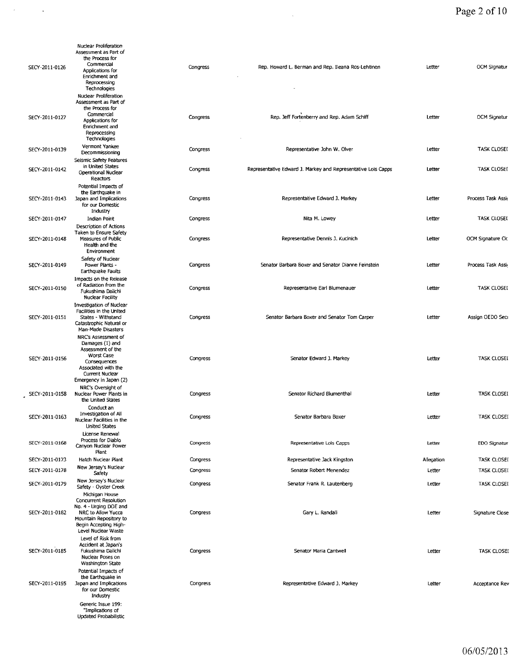| SECY-2011-0126 | Nuclear Proliferation<br>Assessment as Part of<br>the Process for<br>Commercial<br>Applications for<br>Enrichment and<br>Reprocessing<br>Technologies             | Congress | Rep. Howard L. Berman and Rep. Ileana Ros-Lehtinen            | Letter     | <b>OCM Signatur</b> |
|----------------|-------------------------------------------------------------------------------------------------------------------------------------------------------------------|----------|---------------------------------------------------------------|------------|---------------------|
| SECY-2011-0127 | Nuclear Proliferation<br>Assessment as Part of<br>the Process for<br>Commercial<br>Applications for<br>Enrichment and<br>Reprocessing<br>Technologies             | Congress | Rep. Jeff Fortenberry and Rep. Adam Schiff                    | Letter     | OCM Signatur        |
| SECY-2011-0139 | Vermont Yankee<br>Decommissioning                                                                                                                                 | Congress | Representative John W. Olver                                  | Letter     | <b>TASK CLOSE!</b>  |
| SECY-2011-0142 | Seismic Safety Features<br>in United States<br>Operational Nuclear<br>Reactors                                                                                    | Congress | Representative Edward J. Markey and Representative Lois Capps | Letter     | TASK CLOSE!         |
| SECY-2011-0143 | Potential Impacts of<br>the Earthquake in<br>Japan and Implications<br>for our Domestic                                                                           | Congress | Representative Edward J. Markey                               | Letter     | Process Task Assi   |
| SECY-2011-0147 | Industry<br>Indian Point<br>Description of Actions                                                                                                                | Congress | Nita M. Lowey                                                 | Letter     | <b>TASK CLOSEI</b>  |
| SECY-2011-0148 | Taken to Ensure Safety<br>Measures of Public<br>Health and the<br>Environment                                                                                     | Congress | Representative Dennis J. Kucinich                             | Letter     | OCM Signature Clc   |
| SECY-2011-0149 | Safety of Nuclear<br>Power Plants -<br>Earthquake Faults                                                                                                          | Congress | Senator Barbara Boxer and Senator Dianne Feinstein            | Letter     | Process Task Assi   |
| SECY-2011-0150 | Impacts on the Release<br>of Radiation from the<br>Fukushima Dalichi<br>Nuclear Facility                                                                          | Congress | Representative Earl Blumenauer                                | Letter     | <b>TASK CLOSEI</b>  |
| SECY-2011-0151 | Investigation of Nuclear<br>Facilities in the United<br>States - Withstand<br>Catastrophic Natural or<br>Man-Made Disasters                                       | Congress | Senator Barbara Boxer and Senator Tom Carper                  | Letter     | Assign OEDO Seci    |
| SECY-2011-0156 | NRC's Assessment of<br>Damages (1) and<br>Assessment of the<br>Worst Case<br>Consequences<br>Associated with the<br>Current Nuclear<br>Emergency in Japan (2)     | Congress | Senator Edward J. Markey                                      | Letter     | <b>TASK CLOSEL</b>  |
| SECY-2011-0158 | NRC's Oversight of<br>Nuclear Power Plants in<br>the United States                                                                                                | Congress | Senator Richard Blumenthal                                    | Letter     | <b>TASK CLOSEI</b>  |
| SECY-2011-0163 | Conduct an<br>Investigation of All<br>Nuclear Facilities in the<br><b>United States</b>                                                                           | Congress | Senator Barbara Boxer                                         | Letter     | <b>TASK CLOSEI</b>  |
| SECY-2011-0168 | License Renewal<br>Process for Diablo<br>Canyon Nuclear Power<br>Plant                                                                                            | Congress | Representative Lois Capps                                     | Letter     | EDO Signatur        |
| SECY-2011-0173 | Hatch Nuclear Plant                                                                                                                                               | Congress | Representative Jack Kingston                                  | Allegation | <b>TASK CLOSEI</b>  |
| SECY-2011-0178 | New Jersey's Nuclear<br>Safety                                                                                                                                    | Congress | Senator Robert Menendez                                       | Letter     | <b>TASK CLOSEI</b>  |
| SECY-2011-0179 | New Jersey's Nuclear<br>Safety - Oyster Creek                                                                                                                     | Congress | Senator Frank R. Lautenberg                                   | Letter     | <b>TASK CLOSEI</b>  |
| SECY-2011-0182 | Michigan House<br>Concurrent Resolution<br>No. 4 - Urging DOE and<br>NRC to Allow Yucca<br>Mountain Repository to<br>Begin Accepting High-<br>Level Nuclear Waste | Congress | Gary L. Randall                                               | Letter     | Signature Close     |
| SECY-2011-0185 | Level of Risk from<br>Accident at Japan's<br>Fukushima Daiichi<br>Nuclear Poses on<br>Washington State                                                            | Congress | Senator Maria Cantwell                                        | Letter     | <b>TASK CLOSEI</b>  |
| SECY-2011-0195 | Potential Impacts of<br>the Earthquake in<br>Japan and Implications<br>for our Domestic<br>Industry                                                               | Congress | Representative Edward J. Markey                               | Letter     | Acceptance Rev      |
|                | Generic Issue 199:<br>"Implications of<br>Updated Probabilistic                                                                                                   |          |                                                               |            |                     |

 $\sim 10^7$ 

 $\mathcal{L}^{\text{max}}_{\text{max}}$  and  $\mathcal{L}^{\text{max}}_{\text{max}}$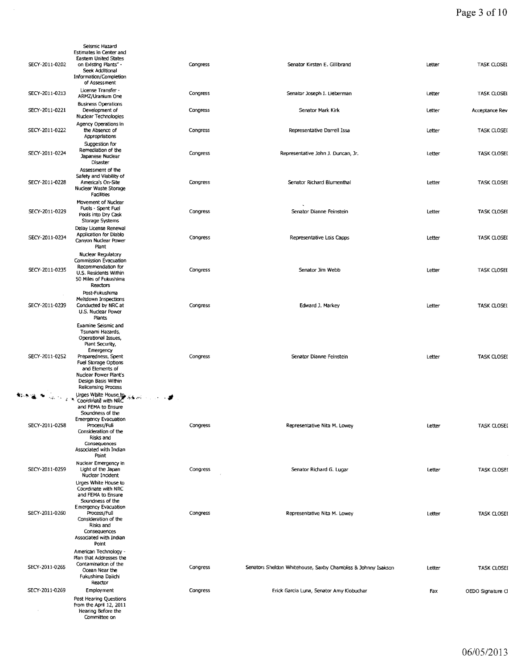|                                                | Seismic Hazard<br>Estimates in Center and                                                                                                                                                                                                      |          |                                                               |        |                    |
|------------------------------------------------|------------------------------------------------------------------------------------------------------------------------------------------------------------------------------------------------------------------------------------------------|----------|---------------------------------------------------------------|--------|--------------------|
| SECY-2011-0202                                 | Eastern United States<br>on Existing Plants" -<br>Seek Additional<br>Information/Completion                                                                                                                                                    | Congress | Senator Kirsten E. Gillibrand                                 | Letter | TASK CLOSEI        |
| SECY-2011-0213                                 | of Assessment<br>License Transfer -<br>ARMZ/Uranium One                                                                                                                                                                                        | Congress | Senator Joseph I. Lieberman                                   | Letter | <b>TASK CLOSEI</b> |
| SECY-2011-0221                                 | <b>Business Operations</b><br>Development of<br>Nuclear Technologies                                                                                                                                                                           | Congress | Senator Mark Kirk                                             | Letter | Acceptance Rev     |
| SECY-2011-0222                                 | Agency Operations in<br>the Absence of<br>Appropriations                                                                                                                                                                                       | Congress | Representative Darrell Issa                                   | Letter | <b>TASK CLOSEI</b> |
| SECY-2011-0224                                 | Suggestion for<br>Remediation of the<br>Japanese Nuclear<br>Disaster                                                                                                                                                                           | Congress | Representative John J. Duncan, Jr.                            | Letter | <b>TASK CLOSEI</b> |
| SECY-2011-0228                                 | Assessment of the<br>Safety and Viability of<br>America's On-Site<br>Nuclear Waste Storage<br>Facilities                                                                                                                                       | Congress | Senator Richard Blumenthal                                    | Letter | <b>TASK CLOSEI</b> |
| SECY-2011-0229                                 | Movement of Nuclear<br>Fuels - Spent Fuel<br>Pools into Dry Cask<br>Storage Systems                                                                                                                                                            | Congress | Senator Dianne Feinstein                                      | Letter | <b>TASK CLOSEI</b> |
| SECY-2011-0234                                 | Delay License Renewal<br>Application for Diablo<br>Canyon Nuclear Power<br>Plant                                                                                                                                                               | Congress | Representative Lois Capps                                     | Letter | <b>TASK CLOSE!</b> |
| SECY-2011-0235                                 | Nuclear Regulatory<br>Commission Evacuation<br>Recommendation for<br>U.S. Residents Within<br>50 Miles of Fukushima<br>Reactors                                                                                                                | Congress | Senator Jim Webb                                              | Letter | <b>TASK CLOSEI</b> |
| SECY-2011-0239                                 | Post-Fukushima<br>Meitdown Inspections<br>Conducted by NRC at<br>U.S. Nuclear Power<br>Plants                                                                                                                                                  | Congress | Edward J. Markey                                              | Letter | <b>TASK CLOSEL</b> |
| SECY-2011-0252                                 | Examine Seismic and<br>Tsunami Hazards,<br>Operational Issues,<br>Plant Security,<br>Emergency<br>Preparedness, Spent<br>Fuel Storage Options<br>and Elements of<br>Nuclear Power Plant's<br>Design Basis Within<br><b>Relicensing Process</b> | Congress | Senator Dianne Feinstein                                      | Letter | <b>TASK CLOSE!</b> |
| 虾壳鲨 配<br>$L$ . $\mathcal{H}$<br>SECY-2011-0258 | Urges White House to 34 and<br>$\sim 100$<br>Coordinate with NRC<br>and FEMA to Ensure<br>Soundness of the<br>Emergency Evacuation<br>Process/Full<br>Consideration of the<br>Risks and<br>Consequences<br>Associated with Indian<br>Point     | Congress | Representative Nita M. Lowey                                  | Letter | <b>TASK CLOSEI</b> |
| SECY-2011-0259                                 | Nuclear Emergency in<br>Light of the Japan<br>Nuclear Incident<br>Urges White House to                                                                                                                                                         | Congress | Senator Richard G. Lugar                                      | Letter | <b>TASK CLOSE!</b> |
| SECY-2011-0260                                 | Coordinate with NRC<br>and FEMA to Ensure<br>Soundness of the<br><b>Emergency Evacuation</b><br>Process/Full<br>Consideration of the<br>Risks and<br>Consequences<br>Associated with Indian<br>Point                                           | Congress | Representative Nita M. Lowey                                  | Letter | <b>TASK CLOSEI</b> |
| SECY-2011-0265                                 | American Technology -<br>Plan that Addresses the<br>Contamination of the<br>Ocean Near the<br>Fukushima Daiichi<br>Reactor                                                                                                                     | Congress | Senators Sheldon Whitehouse, Saxby Chambliss & Johnny Isakson | Letter | <b>TASK CLOSEI</b> |
| SECY-2011-0269                                 | <b>Employment</b><br>Post Hearing Questions<br>from the April 12, 2011<br>Hearing Before the<br>Committee on                                                                                                                                   | Congress | Erick Garcia Luna, Senator Amy Klobuchar                      | Fax    | OEDO Signature CI  |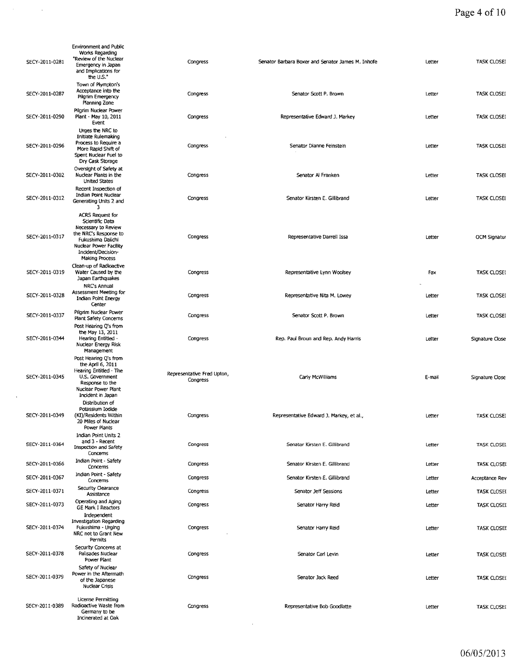| SECY-2011-0281 | <b>Environment and Public</b><br>Works Regarding<br>"Review of the Nuclear<br>Emergency in Japan<br>and Implications for<br>the U.S."                                                                               | Congress                               | Senator Barbara Boxer and Senator James M. Inhofe | Letter | <b>TASK CLOSEI</b> |
|----------------|---------------------------------------------------------------------------------------------------------------------------------------------------------------------------------------------------------------------|----------------------------------------|---------------------------------------------------|--------|--------------------|
| SECY-2011-0287 | Town of Plympton's<br>Acceptance into the<br>Pilgrim Emergency<br>Planning Zone                                                                                                                                     | Congress                               | Senator Scott P. Brown                            | Letter | <b>TASK CLOSEI</b> |
| SECY-2011-0290 | Pilgrim Nuclear Power<br>Plant - May 10, 2011<br>Event                                                                                                                                                              | Congress                               | Representative Edward J. Markey                   | Letter | <b>TASK CLOSEI</b> |
| SECY-2011-0296 | Urges the NRC to<br>Initiate Rulemaking<br>Process to Require a<br>More Rapid Shift of<br>Spent Nuclear Fuel to<br>Dry Cask Storage                                                                                 | Congress                               | Senator Dianne Feinstein                          | Letter | <b>TASK CLOSEI</b> |
| SECY-2011-0302 | Oversight of Safety at<br>Nuclear Plants in the<br><b>United States</b>                                                                                                                                             | Congress                               | Senator Al Franken                                | Letter | <b>TASK CLOSEI</b> |
| SECY-2011-0312 | Recent Inspection of<br>Indian Point Nuclear<br>Generating Units 2 and<br>3                                                                                                                                         | Congress                               | Senator Kirsten E. Gillibrand                     | Letter | <b>TASK CLOSEL</b> |
| SECY-2011-0317 | <b>ACRS Request for</b><br>Scientific Data<br>Necessary to Review<br>the NRC's Response to<br>Fukushima Daiichi<br>Nuclear Power Facility<br>Incident/Decision-<br><b>Making Process</b><br>Clean-up of Radioactive | Congress                               | Representative Darrell Issa                       | Letter | OCM Signatur       |
| SECY-2011-0319 | Water Caused by the<br>Japan Earthquakes<br>NRC's Annual                                                                                                                                                            | Congress                               | Representative Lynn Woolsey                       | Fax    | <b>TASK CLOSE!</b> |
| SECY-2011-0328 | Assessment Meeting for<br>Indian Point Energy<br>Center                                                                                                                                                             | Congress                               | Representative Nita M. Lowey                      | Letter | <b>TASK CLOSEI</b> |
| SECY-2011-0337 | Pilgrim Nuclear Power<br>Plant Safety Concerns<br>Post Hearing Q's from                                                                                                                                             | Congress                               | Senator Scott P. Brown                            | Letter | <b>TASK CLOSEI</b> |
|                |                                                                                                                                                                                                                     |                                        |                                                   |        |                    |
| SECY-2011-0344 | the May 13, 2011<br>Heaning Entitled -<br>Nuclear Energy Risk                                                                                                                                                       | Congress                               | Rep. Paul Broun and Rep. Andy Harris              | Letter | Signature Close    |
| SECY-2011-0345 | Management<br>Post Hearing Q's from<br>the April 6, 2011<br>Hearing Entitled - The<br>U.S. Government<br>Response to the<br>Nuclear Power Plant<br>Incident in Japan                                                | Representative Fred Upton,<br>Congress | Carly McWilliams                                  | E-mail | Signature Close    |
| SECY-2011-0349 | Distribution of<br>Potassium Iodide<br>(KI)/Residents Within<br>20 Miles of Nuclear<br>Power Plants                                                                                                                 | Congress                               | Representative Edward J. Markey, et al.,          | Letter | <b>TASK CLOSE!</b> |
| SECY-2011-0364 | Indian Point Units 2<br>and 3 - Recent<br>Inspection and Safety                                                                                                                                                     | Congress                               | Senator Kirsten E. Gillibrand                     | Letter | <b>TASK CLOSEL</b> |
| SECY-2011-0366 | Concerns<br>Indian Point - Safety<br>Concerns                                                                                                                                                                       | Congress                               | Senator Kirsten E. Gillibrand                     | Letter | <b>TASK CLOSE!</b> |
| SECY-2011-0367 | Indian Point - Safety<br>Concerns                                                                                                                                                                                   | Congress                               | Senator Kirsten E. Gillibrand                     | Letter | Acceptance Rev     |
| SECY-2011-0371 | Security Clearance<br>Assistance                                                                                                                                                                                    | Congress                               | Senator Jeff Sessions                             | Letter | <b>TASK CLOSEI</b> |
| SECY-2011-0373 | Operating and Aging<br><b>GE Mark I Reactors</b>                                                                                                                                                                    | Congress                               | Senator Harry Reid                                | Letter | <b>TASK CLOSEI</b> |
| SECY-2011-0374 | Independent<br>Investigation Regarding<br>Fukushima - Urging<br>NRC not to Grant New                                                                                                                                | Congress                               | Senator Harry Reid                                | Letter | <b>TASK CLOSEI</b> |
| SECY-2011-0378 | Permits<br>Security Concerns at<br>Palisades Nuclear<br>Power Plant                                                                                                                                                 | Congress                               | Senator Carl Levin                                | Letter | <b>TASK CLOSEI</b> |
| SECY-2011-0379 | Safety of Nuclear<br>Power in the Aftermath<br>of the Japanese<br>Nuclear Crisis                                                                                                                                    | Congress                               | Senator Jack Reed                                 | Letter | <b>TASK CLOSEI</b> |

 $\label{eq:2.1} \frac{1}{\sqrt{2}}\left(\frac{1}{\sqrt{2}}\right)^{2} \left(\frac{1}{\sqrt{2}}\right)^{2} \left(\frac{1}{\sqrt{2}}\right)^{2} \left(\frac{1}{\sqrt{2}}\right)^{2}$ 

 $\sim$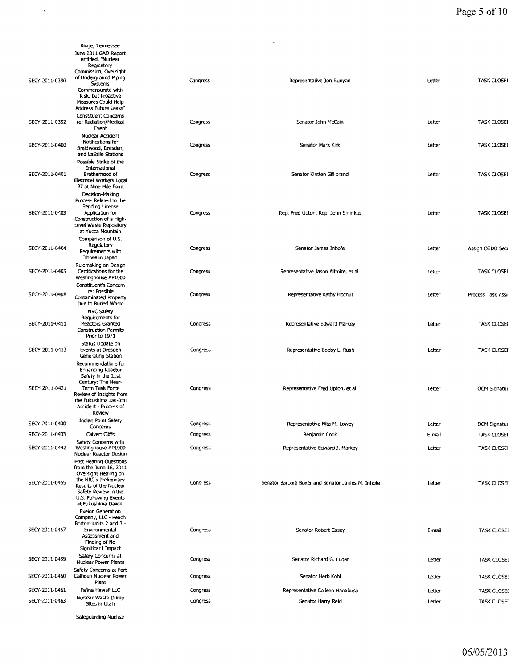| SECY-2011-0390 | Ridge, Tennessee<br>June 2011 GAO Report<br>entitled, "Nuclear<br>Regulatory<br>Commission, Oversight<br>of Underground Piping<br>Systems<br>Commensurate with<br>Risk, but Proactive<br>Measures Could Help<br>Address Future Leaks" | Congress | Representative Jon Runyan                         | Letter | <b>TASK CLOSEI</b> |
|----------------|---------------------------------------------------------------------------------------------------------------------------------------------------------------------------------------------------------------------------------------|----------|---------------------------------------------------|--------|--------------------|
| SECY-2011-0392 | <b>Constituent Concerns</b><br>re: Radiation/Medical<br>Event                                                                                                                                                                         | Congress | Senator John McCain                               | Letter | <b>TASK CLOSEI</b> |
| SECY-2011-0400 | Nuclear Accident<br>Notifications for<br>Braidwood, Dresden,<br>and LaSalle Stations                                                                                                                                                  | Congress | Senator Mark Kirk                                 | Letter | <b>TASK CLOSEI</b> |
| SECY-2011-0401 | Possible Strike of the<br>International<br>Brotherhood of<br>Electrical Workers Local<br>97 at Nine Mile Point                                                                                                                        | Congress | Senator Kirsten Gillibrand                        | Letter | <b>TASK CLOSEI</b> |
| SECY-2011-0403 | Decision-Making<br>Process Related to the<br>Pending License<br>Application for<br>Construction of a High-<br>Level Waste Repository<br>at Yucca Mountain                                                                             | Congress | Rep. Fred Upton, Rep. John Shimkus                | Letter | <b>TASK CLOSEI</b> |
| SECY-2011-0404 | Comparison of U.S.<br>Regulatory<br>Requirements with<br>Those in Japan                                                                                                                                                               | Congress | Senator James Inhofe                              | Letter | Assign OEDO Seci   |
| SECY-2011-0405 | Rulemaking on Design<br>Certifications for the<br>Westinghouse AP1000                                                                                                                                                                 | Congress | Representative Jason Altmire, et al.              | Letter | <b>TASK CLOSEI</b> |
| SECY-2011-0408 | Constituent's Concern<br>re: Possible<br>Contaminated Property<br>Due to Buried Waste                                                                                                                                                 | Congress | Representative Kathy Hochul                       | Letter | Process Task Assi  |
| SECY-2011-0411 | <b>NRC Safety</b><br>Requirements for<br>Reactors Granted<br><b>Construction Permits</b><br>Prior to 1971                                                                                                                             | Congress | Representative Edward Markey                      | Letter | <b>TASK CLOSEI</b> |
| SECY-2011-0413 | Status Update on<br>Events at Dresden<br>Generating Station                                                                                                                                                                           | Congress | Representative Bobby L. Rush                      | Letter | <b>TASK CLOSEI</b> |
| SECY-2011-0421 | Recommendations for<br><b>Enhancing Reactor</b><br>Safety in the 21st<br>Century: The Near-<br>Term Task Force<br>Review of Insights from<br>the Fukushima Dai-Ichi<br>Accident - Process of<br>Review                                | Congress | Representative Fred Upton, et al.                 | Letter | OCM Signatur       |
| SECY-2011-0430 | Indian Point Safety<br>Concerns                                                                                                                                                                                                       | Congress | Representative Nita M. Lowey                      | Letter | OCM Signatur       |
| SECY-2011-0433 | Caivert Cliffs                                                                                                                                                                                                                        | Congress | Benjamin Cook                                     | E-mail | <b>TASK CLOSEI</b> |
| SECY-2011-0442 | Safety Concerns with<br>Westinghouse AP1000<br>Nuclear Reactor Design                                                                                                                                                                 | Congress | Representative Edward J. Markey                   | Letter | <b>TASK CLOSEI</b> |
| SECY-2011-0455 | Post Hearing Questions<br>from the June 16, 2011<br>Oversight Hearing on<br>the NRC's Preliminary<br>Results of the Nuclear<br>Safety Review in the<br>U.S. Following Events<br>at Fukushima Daiichi                                  | Congress | Senator Barbara Boxer and Senator James M. Inhofe | Letter | <b>TASK CLOSEI</b> |
| SECY-2011-0457 | Exelon Generation<br>Company, LLC - Peach<br>Bottom Units 2 and 3 -<br>Environmental<br>Assessment and<br>Finding of No<br>Significant Impact                                                                                         | Congress | Senator Robert Casey                              | E-mail | <b>TASK CLOSEI</b> |
| SECY-2011-0459 | Safety Concerns at<br>Nuclear Power Plants                                                                                                                                                                                            | Congress | Senator Richard G. Lugar                          | Letter | <b>TASK CLOSEI</b> |
| SECY-2011-0460 | Safety Concerns at Fort<br>Calhoun Nuclear Power<br>Plant                                                                                                                                                                             | Congress | Senator Herb Kohl                                 | Letter | <b>TASK CLOSE!</b> |
| SECY-2011-0461 | Pa'ina Hawall LLC                                                                                                                                                                                                                     | Congress | Representative Colleen Hanabusa                   | Letter | <b>TASK CLOSE(</b> |
| SECY-2011-0463 | Nuclear Waste Dump<br>Sites in Utah                                                                                                                                                                                                   | Congress | Senator Harry Reid                                | Letter | <b>TASK CLOSEI</b> |
|                |                                                                                                                                                                                                                                       |          |                                                   |        |                    |

 $\label{eq:2} \frac{1}{\sqrt{2}}\int_{\mathbb{R}^3} \left|\frac{d\mathbf{x}}{d\mathbf{x}}\right|^2 \, d\mathbf{x} \, d\mathbf{x} \, d\mathbf{x} \, d\mathbf{x} \, d\mathbf{x} \, d\mathbf{x} \, d\mathbf{x} \, d\mathbf{x} \, d\mathbf{x} \, d\mathbf{x} \, d\mathbf{x} \, d\mathbf{x} \, d\mathbf{x} \, d\mathbf{x} \, d\mathbf{x} \, d\mathbf{x} \, d\mathbf{x} \, d\mathbf{x} \, d\mathbf{x} \, d\mathbf{x} \, d\mathbf{x} \$ 

Safeguarding Nuclear

 $\label{eq:1} \mathcal{R} = \mathcal{R} \left( \mathcal{R} \right) \left( \mathcal{R} \right)$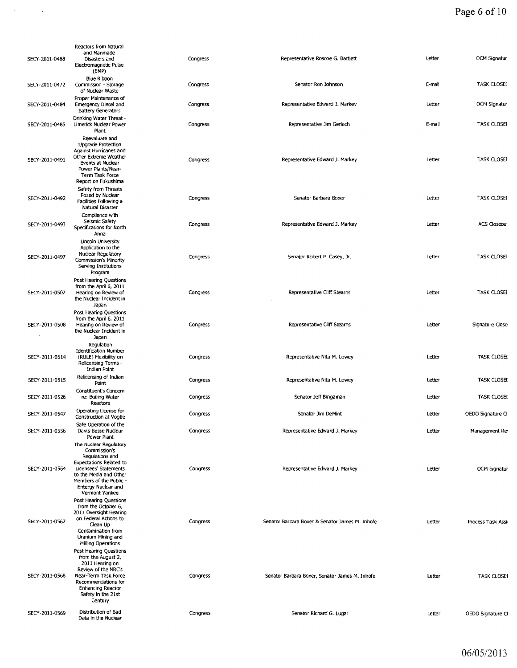| SECY-2011-0468 | Reactors from Natural<br>and Manmade<br>Disasters and                                                                                                                                                              | Congress | Representative Roscoe G. Bartlett               | Letter | OCM Signatur        |
|----------------|--------------------------------------------------------------------------------------------------------------------------------------------------------------------------------------------------------------------|----------|-------------------------------------------------|--------|---------------------|
| SECY-2011-0472 | Electromagnetic Pulse<br>(EMP)<br>Blue Ribbon<br>Commission - Storage                                                                                                                                              | Congress | Senator Ron Johnson                             | E-mail | <b>TASK CLOSEI</b>  |
|                | of Nuclear Waste<br>Proper Maintenance of                                                                                                                                                                          |          |                                                 |        |                     |
| SECY-2011-0484 | Emergency Diesel and<br><b>Battery Generators</b><br>Drinking Water Threat -                                                                                                                                       | Congress | Representative Edward J. Markey                 | Letter | OCM Signatur        |
| SECY-2011-0485 | Limerick Nuclear Power<br>Plant                                                                                                                                                                                    | Congress | Representative Jim Gerlach                      | E-mail | <b>TASK CLOSEI</b>  |
| SECY-2011-0491 | Reevaluate and<br>Upgrade Protection<br>Against Hurricanes and<br>Other Extreme Weather<br>Events at Nuclear<br>Power Plants/Near-<br>Term Task Force<br>Report on Fukushima                                       | Congress | Representative Edward J. Markey                 | Letter | <b>TASK CLOSEI</b>  |
| SECY-2011-0492 | Safety from Threats<br>Posed by Nuclear<br>Facilities Following a<br>Natural Disaster                                                                                                                              | Congress | Seriator Barbara Boxer                          | Letter | TASK CLOSEI         |
| SECY-2011-0493 | Compliance with<br>Seismic Safety<br>Specifications for North<br>Anna                                                                                                                                              | Congress | Representative Edward J. Markey                 | Letter | <b>ACS Closeoul</b> |
| SECY-2011-0497 | Lincoln University<br>Application to the<br>Nuclear Regulatory<br><b>Commission's Minority</b><br>Serving Institutions<br>Program                                                                                  | Congress | Senator Robert P. Casey, Jr.                    | Letter | TASK CLOSEI         |
| SECY-2011-0507 | Post Hearing Questions<br>from the April 6, 2011<br>Hearing on Review of<br>the Nuclear Incident in<br>Japan                                                                                                       | Congress | Representative Cliff Stearns                    | Letter | <b>TASK CLOSEI</b>  |
| SECY-2011-0508 | Post Hearing Questions<br>from the April 6, 2011<br>Hearing on Review of<br>the Nuclear Incident in<br>Japan                                                                                                       | Congress | Representative Cliff Stearns                    | Letter | Signature Close     |
| SECY-2011-0514 | Regulation<br>Identification Number<br>(RULE) Flexibility on<br>Relicensing Terms -<br>Indian Point                                                                                                                | Congress | Representative Nita M. Lowey                    | Letter | <b>TASK CLOSEI</b>  |
| SECY-2011-0515 | Relicensing of Indian<br>Point                                                                                                                                                                                     | Congress | Representative Nita M. Lowey                    | Letter | <b>TASK CLOSEI</b>  |
| SECY-2011-0526 | Constituent's Concern<br>re: Boiling Water<br>Reactors                                                                                                                                                             | Congress | Senator Jeff Bingaman                           | Letter | <b>TASK CLOSEI</b>  |
| SECY-2011-0547 | Operating License for<br>Construction at Vogtie                                                                                                                                                                    | Congress | Senator Jim DeMint                              | Letter | OEDO Signature CI   |
| SECY-2011-0556 | Safe Operation of the<br>Davis-Besse Nuclear<br>Power Plant                                                                                                                                                        | Congress | Representative Edward J. Markey                 | Letter | Management Re       |
| SECY-2011-0564 | The Nuclear Regulatory<br>Commission's<br>Regulations and<br><b>Expectations Related to</b><br>Licensees' Statements<br>to the Media and Other<br>Members of the Public -<br>Entergy Nuclear and<br>Vermont Yankee | Congress | Representative Edward J. Markey                 | Letter | OCM Signatur        |
| SECY-2011-0567 | Post Hearing Questions<br>from the October 6,<br>2011 Oversight Hearing<br>on Federal Actions to<br>Clean Up<br>Contamination from<br>Uranium Mining and<br>Milling Operations<br>Post Hearing Questions           | Congress | Senator Barbara Boxer & Senator James M. Inhofe | Letter | Process Task Assir  |
| SECY-2011-0568 | from the August 2,<br>2011 Hearing on<br>Review of the NRC's<br>Near-Term Task Force<br>Recommendations for<br>Enhancing Reactor<br>Safety in the 21st<br>Century                                                  | Congress | Senator Barbara Boxer, Senator James M. Inhofe  | Letter | TASK CLOSEI         |
| SECY-2011-0569 | Distribution of Bad<br>Data in the Nuclear                                                                                                                                                                         | Congress | Senator Richard G. Lugar                        | Letter | OEDO Signature CI   |

 $\hat{f}(\hat{f})$  and  $\hat{f}(\hat{f})$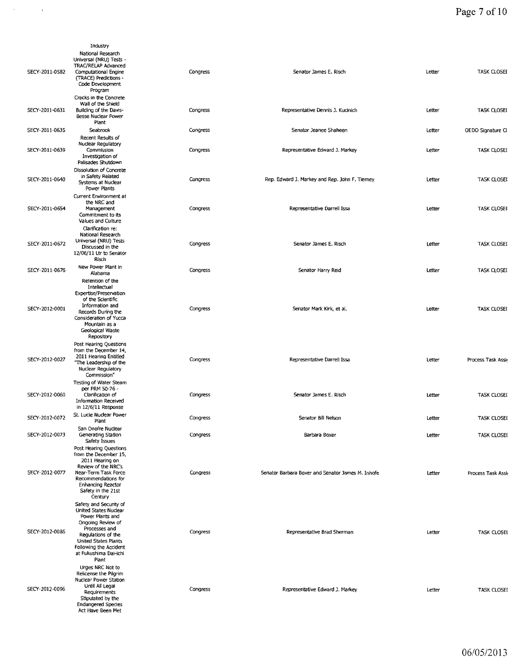|                | Industry                                                                                                                                                                                                            |          |                                                   |        |                    |
|----------------|---------------------------------------------------------------------------------------------------------------------------------------------------------------------------------------------------------------------|----------|---------------------------------------------------|--------|--------------------|
| SECY-2011-0582 | National Research<br>Universal (NRU) Tests -<br>TRAC/RELAP Advanced<br>Computational Engine<br>(TRACE) Predictions -<br>Code Development<br>Program                                                                 | Congress | Senator James E. Risch                            | Letter | <b>TASK CLOSEI</b> |
| SECY-2011-0631 | Cracks in the Concrete<br>Wall of the Shield<br>Building of the Davis-<br>Besse Nuclear Power<br>Plant                                                                                                              | Congress | Representative Dennis J. Kucinich                 | Letter | <b>TASK CLOSEI</b> |
| SECY-2011-0635 | Seabrook<br>Recent Results of                                                                                                                                                                                       | Congress | Senator Jeanee Shaheen                            | Letter | OEDO Signature CI  |
| SECY-2011-0639 | Nuclear Regulatory<br>Commission<br>Investigation of<br>Palisades Shutdown                                                                                                                                          | Congress | Representative Edward J. Markey                   | Letter | <b>TASK CLOSEI</b> |
| SECY-2011-0640 | Dissolution of Concrete<br>in Safety Related<br>Systems at Nuclear<br>Power Plants                                                                                                                                  | Congress | Rep. Edward J. Markey and Rep. John F. Tierney    | Letter | <b>TASK CLOSEI</b> |
| SECY-2011-0654 | Current Environment at<br>the NRC and<br>Management<br>Commitment to its<br>Values and Culture<br>Clarification re:                                                                                                 | Congress | Representative Darrell Issa                       | Letter | <b>TASK CLOSEI</b> |
| SECY-2011-0672 | National Research<br>Universal (NRU) Tests<br>Discussed in the<br>12/06/11 Ltr to Senator<br>Risch                                                                                                                  | Congress | Senator James E. Risch                            | Letter | <b>TASK CLOSEI</b> |
| SECY-2011-0676 | New Power Plant in<br>Alabama                                                                                                                                                                                       | Congress | Senator Harry Reid                                | Letter | <b>TASK CLOSEI</b> |
| SECY-2012-0001 | Retention of the<br>Intellectual<br>Expertise/Preservation<br>of the Scientific<br>Information and<br>Records During the<br>Consideration of Yucca<br>Mountain as a<br>Geological Waste                             | Congress | Senator Mark Kirk, et al.                         | Letter | <b>TASK CLOSEI</b> |
| SECY-2012-0027 | Repository<br>Post Hearing Questions<br>from the December 14,<br>2011 Hearing Entitled<br>"The Leadership of the<br>Nuclear Regulatory<br>Commission"<br>Testing of Water Steam                                     | Congress | Representative Darrell Issa                       | Letter | Process Task Assir |
| SECY-2012-0060 | per PRM 50-76 -<br>Clarification of<br>Information Received<br>in 12/6/11 Response                                                                                                                                  | Congress | Senator James E. Risch                            | Letter | <b>TASK CLOSEI</b> |
| SECY-2012-0072 | St. Lucie Nuclear Power<br>Plant                                                                                                                                                                                    | Congress | Senator Bill Nelson                               | Letter | TASK CLOSEI        |
| SECY-2012-0073 | San Onofre Nuclear<br>Generating Station<br>Safety Issues                                                                                                                                                           | Congress | Barbara Boxer                                     | Letter | <b>TASK CLOSEI</b> |
| SECY-2012-0077 | Post Hearing Questions<br>from the December 15,<br>2011 Hearing on<br>Review of the NRC's<br>Near-Term Task Force<br>Recommendations for<br><b>Enhancing Reactor</b><br>Safety in the 21st<br>Century               | Congress | Senator Barbara Boxer and Senator James M. Inhofe | Letter | Process Task Assi  |
| SECY-2012-0086 | Safety and Security of<br>United States Nuclear<br>Power Plants and<br>Ongoing Review of<br>Processes and<br>Regulations of the<br>United States Plants<br>Following the Accident<br>at Fukushima Dai-ichi<br>Plant | Congress | Representative Brad Sherman                       | Letter | <b>TASK CLOSEI</b> |
| SECY-2012-0096 | Urges NRC Not to<br>Relicense the Pilgrim<br>Nuclear Power Station<br>Until All Legal<br>Requirements<br>Stipulated by the<br><b>Endangered Species</b><br>Act Have Been Met                                        | Congress | Representative Edward J. Markey                   | Letter | <b>TASK CLOSEI</b> |

 $\mathcal{A}^{\text{max}}_{\text{max}}$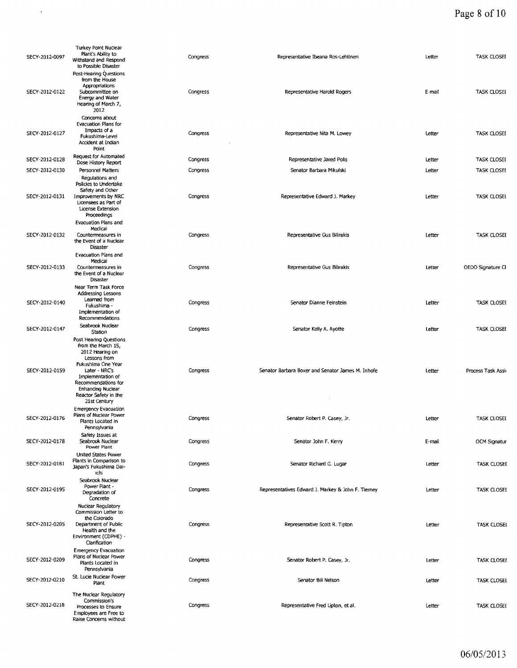| SECY-2012-0097 | Turkey Point Nuclear<br>Plant's Ability to<br>Withstand and Respond<br>to Possible Disaster                                                                                                                                      | Congress | Representative Ibeana Ros-Lehtinen                 | Letter | <b>TASK CLOSEI</b>  |
|----------------|----------------------------------------------------------------------------------------------------------------------------------------------------------------------------------------------------------------------------------|----------|----------------------------------------------------|--------|---------------------|
| SECY-2012-0122 | Post-Hearing Questions<br>from the House<br>Appropriations<br>Subcommittee on<br>Energy and Water<br>Hearing of March 7,<br>2012                                                                                                 | Congress | Representative Harold Rogers                       | E-mail | <b>TASK CLOSEI</b>  |
| SECY-2012-0127 | Concerns about<br>Evacuation Plans for<br>Impacts of a<br>Fukushima-Level<br>Accident at Indian<br>Point                                                                                                                         | Congress | Representative Nita M. Lowey                       | Letter | <b>TASK CLOSEI</b>  |
| SECY-2012-0128 | Request for Automated<br>Dose History Report                                                                                                                                                                                     | Congress | Representative Jared Polis                         | Letter | <b>TASK CLOSEI</b>  |
| SECY-2012-0130 | Personnel Matters<br>Regulations and                                                                                                                                                                                             | Congress | Senator Barbara Mikulski                           | Letter | <b>TASK CLOSE(</b>  |
| SECY-2012-0131 | Policies to Undertake<br>Safety and Other<br><b>Improvements by NRC</b><br>Licensees as Part of<br>License Extension<br>Proceedings<br>Evacuation Plans and                                                                      | Congress | Representative Edward J. Markey                    | Letter | <b>TASK CLOSEI</b>  |
| SECY-2012-0132 | Medical<br>Countermeasures in<br>the Event of a Nuclear<br>Disaster                                                                                                                                                              | Congress | Representative Gus Bilirakis                       | Letter | <b>TASK CLOSEI</b>  |
| SECY-2012-0133 | Evacuation Plans and<br>Medical<br>Countermeasures in<br>the Event of a Nuclear<br>Disaster                                                                                                                                      | Congress | Representative Gus Bilirakis                       | Letter | OEDO Signature Cl   |
| SECY-2012-0140 | Near Term Task Force<br>Addressing Lessons<br>Learned from<br>Fukushima -<br>Implementation of<br>Recommendations                                                                                                                | Congress | Senator Dianne Feinstein                           | Letter | <b>TASK CLOSE!</b>  |
| SECY-2012-0147 | Seabrook Nuclear<br>Station                                                                                                                                                                                                      | Congress | Senator Kelly A. Ayotte                            | Letter | <b>TASK CLOSE!</b>  |
| SECY-2012-0159 | Post Hearing Questions<br>from the March 15,<br>2012 Hearing on<br>Lessons from<br>Fukushima One Year<br>Later - NRC's<br>Implementation of<br>Recommendations for<br>Enhancing Nuclear<br>Reactor Safety in the<br>21st Century | Congress | Senator Barbara Boxer and Senator James M. Inhofe  | Letter | Process Task Assir  |
| SECY-2012-0176 | <b>Emergency Evacuation</b><br>Plans of Nuclear Power<br>Plants Located in<br>Pennsylvania                                                                                                                                       | Congress | Senator Robert P. Casey, Jr.                       | Letter | <b>TASK CLOSE!</b>  |
| SECY-2012-0178 | Safety Issues at<br>Seabrook Nuclear<br>Power Plant                                                                                                                                                                              | Congress | Senator John F. Kerry                              | E-mail | <b>OCM Signatur</b> |
| SECY-2012-0181 | United States Power<br>Plants in Comparison to<br>Japan's Fukushima Dai-<br>ichi                                                                                                                                                 | Congress | Senator Richard G. Lugar                           | Letter | <b>TASK CLOSEI</b>  |
| SECY-2012-0195 | Seabrook Nuclear<br>Power Plant -<br>Degradation of<br>Concrete                                                                                                                                                                  | Congress | Representatives Edward J. Markey & John F. Tierney | Letter | TASK CLOSEI         |
| SECY-2012-0205 | Nuclear Regulatory<br>Commission Letter to<br>the Colorado<br>Department of Public<br>Health and the<br>Environment (CDPHE) -<br>Clarification                                                                                   | Congress | Representative Scott R. Tipton                     | Letter | TASK CLOSEI         |
| SECY-2012-0209 | <b>Emergency Evacuation</b><br>Plans of Nuclear Power<br>Plants Located in<br>Pennsylvania                                                                                                                                       | Congress | Senator Robert P. Casey, Jr.                       | Letter | <b>TASK CLOSEI</b>  |
| SECY-2012-0210 | St. Lucie Nuclear Power<br>Plant                                                                                                                                                                                                 | Congress | Senator Bill Nelson                                | Letter | TASK CLOSEI         |
| SECY-2012-0218 | The Nuclear Regulatory<br>Commission's<br>Processes to Ensure<br>Employees are Free to<br>Raise Concerns without                                                                                                                 | Congress | Representative Fred Upton, et al.                  | Letter | <b>TASK CLOSEI</b>  |

 $\hat{\mathcal{A}}$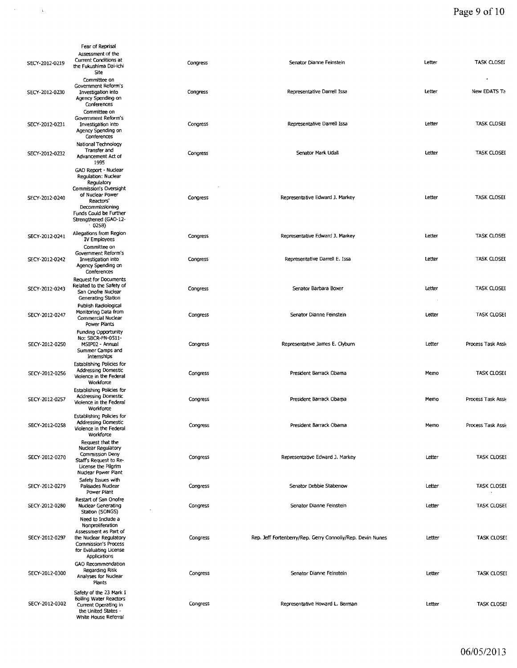|                | Fear of Reprisal                                                                                                                                                                                   |          |                                                            |        |                    |
|----------------|----------------------------------------------------------------------------------------------------------------------------------------------------------------------------------------------------|----------|------------------------------------------------------------|--------|--------------------|
| SECY-2012-0219 | Assessment of the<br><b>Current Conditions at</b><br>the Fukushima Dai-ichi<br>Site                                                                                                                | Congress | Senator Dianne Feinstein                                   | Letter | <b>TASK CLOSEI</b> |
| SECY-2012-0230 | Committee on<br>Government Reform's<br>Investigation into<br>Agency Spending on<br>Conferences                                                                                                     | Congress | Representative Darrell Issa                                | Letter | New EDATS Ta       |
| SECY-2012-0231 | Committee on<br>Government Reform's<br>Investigation into<br>Agency Spending on<br>Conferences                                                                                                     | Congress | Representative Darrell Issa                                | Letter | <b>TASK CLOSEI</b> |
| SECY-2012-0232 | National Technology<br>Transfer and<br>Advancement Act of<br>1995                                                                                                                                  | Congress | Senator Mark Udall                                         | Letter | <b>TASK CLOSEI</b> |
| SECY-2012-0240 | GAO Report - Nuclear<br>Regulation: Nuclear<br>Regulatory<br>Commission's Oversight<br>of Nuclear Power<br>Reactors'<br>Decommissioning<br>Funds Could be Further<br>Strengthened (GAO-12-<br>0258 | Congress | Representative Edward J. Markey                            | Letter | <b>TASK CLOSEI</b> |
| SECY-2012-0241 | Allegations from Region<br>IV Employees                                                                                                                                                            | Congress | Representative Edward J. Markey                            | Letter | <b>TASK CLOSEI</b> |
| SECY-2012-0242 | Committee on<br>Government Reform's<br>Investigation into<br>Agency Spending on<br>Conferences                                                                                                     | Congress | Representative Darrell E. Issa                             | Letter | <b>TASK CLOSEI</b> |
| SECY-2012-0243 | Request for Documents<br>Related to the Safety of<br>San Onofre Nuclear<br>Generating Station                                                                                                      | Congress | Senator Barbara Boxer                                      | Letter | <b>TASK CLOSEI</b> |
| SECY-2012-0247 | Publish Radiological<br>Monitoring Data from<br>Commercial Nuclear<br>Power Plants                                                                                                                 | Congress | Senator Dianne Feinstein                                   | Letter | <b>TASK CLOSEI</b> |
| SECY-2012-0250 | Funding Opportunity<br>No: SBCR-FN-0511-<br>MSIP02 - Annual<br>Summer Camps and<br>Internships                                                                                                     | Congress | Representative James E. Clyburn                            | Letter | Process Task Assir |
| SECY-2012-0256 | Establishing Policies for<br>Addressing Domestic<br>Violence in the Federal<br>Workforce                                                                                                           | Congress | President Barrack Obama                                    | Memo   | <b>TASK CLOSE(</b> |
| SECY-2012-0257 | Establishing Policies for<br><b>Addressing Domestic</b><br>Violence in the Federal<br>Workforce                                                                                                    | Congress | President Barrack Obama                                    | Memo   | Process Task Assir |
| SECY-2012-0258 | Establishing Policies for<br><b>Addressing Domestic</b><br>Violence in the Federal<br>Workforce                                                                                                    | Congress | President Barrack Obama                                    | Memo   | Process Task Assi  |
| SECY-2012-0270 | Request that the<br>Nuclear Regulatory<br>Commission Deny<br>Staff's Request to Re-<br>License the Pilgrim<br>Nuclear Power Plant                                                                  | Congress | Representative Edward J. Markey                            | Letter | <b>TASK CLOSEI</b> |
| SECY-2012-0279 | Safety Issues with<br>Palisades Nuclear<br>Power Plant                                                                                                                                             | Congress | Senator Debbie Stabenow                                    | Letter | TASK CLOSEI        |
| SECY-2012-0280 | Restart of San Onofre<br>Nuclear Generating<br>Station (SONGS)<br>Need to Include a                                                                                                                | Congress | Senator Dianne Feinstein                                   | Letter | <b>TASK CLOSEI</b> |
| SECY-2012-0297 | Nonproliferation<br>Assessment as Part of<br>the Nuclear Regulatory<br><b>Commission's Process</b><br>for Evaluating License<br>Applications                                                       | Congress | Rep. Jeff Fortenberry/Rep. Gerry Connolly/Rep. Devin Nunes | Letter | <b>TASK CLOSEI</b> |
| SECY-2012-0300 | GAO Recommendation<br>Regarding Risk<br>Analyses for Nuclear<br>Plants                                                                                                                             | Congress | Senator Dianne Feinstein                                   | Letter | <b>TASK CLOSEI</b> |
| SECY-2012-0302 | Safety of the 23 Mark I<br><b>Boiling Water Reactors</b><br>Current Operating in<br>the United States -<br>White House Referral                                                                    | Congress | Representative Howard L. Berman                            | Letter | <b>TASK CLOSE!</b> |

 $\label{eq:2.1} \frac{1}{\sqrt{2}}\int_{\mathbb{R}^{2}}\frac{1}{\sqrt{2}}\left(\frac{1}{\sqrt{2}}\right)^{2}dx\leq\frac{1}{\sqrt{2}}\int_{\mathbb{R}^{2}}\frac{1}{\sqrt{2}}dx$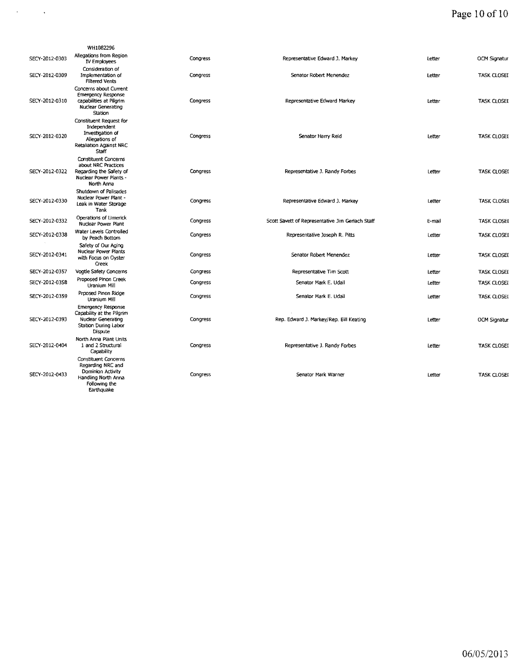### Page **10** of 10

|                | WH1082296                                                                                                                   |          |                                                  |        |                     |
|----------------|-----------------------------------------------------------------------------------------------------------------------------|----------|--------------------------------------------------|--------|---------------------|
| SECY-2012-0303 | Allegations from Region<br><b>IV Employees</b>                                                                              | Congress | Representative Edward J. Markey                  | Letter | <b>OCM Signatur</b> |
| SECY-2012-0309 | Consideration of<br>Implementation of<br><b>Filtered Vents</b>                                                              | Congress | Senator Robert Menendez                          | Letter | <b>TASK CLOSEI</b>  |
| SECY-2012-0310 | Concerns about Current<br><b>Emergency Response</b><br>capabilities at Pilgrim<br>Nuclear Generating<br>Station             | Congress | Representative Edward Markey                     | Letter | <b>TASK CLOSEL</b>  |
| SECY-2012-0320 | Constituent Request for<br>Independent<br>Investigation of<br>Allegations of<br>Retaliation Against NRC<br>Staff            | Congress | Senator Harry Reid                               | Letter | <b>TASK CLOSE!</b>  |
| SECY-2012-0322 | <b>Constituent Concerns</b><br>about NRC Practices<br>Regarding the Safety of<br>Nuclear Power Plants -<br>North Anna       | Congress | Representative J. Randy Forbes                   | Letter | <b>TASK CLOSE!</b>  |
| SECY-2012-0330 | Shutdown of Palisades<br>Nuclear Power Plant -<br>Leak in Water Storage<br>Tank                                             | Congress | Representative Edward J. Markey                  | Letter | <b>TASK CLOSEL</b>  |
| SECY-2012-0332 | Operations of Limerick<br>Nuclear Power Plant                                                                               | Congress | Scott Savett of Representative Jim Gerlach Staff | E-mail | <b>TASK CLOSEI</b>  |
| SECY-2012-0338 | Water Levels Controlled<br>by Peach Bottom                                                                                  | Congress | Representative Joseph R. Pitts                   | Letter | <b>TASK CLOSEI</b>  |
| SECY-2012-0341 | Safety of Our Aging<br>Nuclear Power Plants<br>with Focus on Oyster<br>Creek                                                | Congress | Senator Robert Menendez                          | Letter | <b>TASK CLOSE!</b>  |
| SECY-2012-0357 | Vogtle Safety Concerns                                                                                                      | Congress | Representative Tim Scott                         | Letter | <b>TASK CLOSEI</b>  |
| SECY-2012-0358 | Proposed Pinon Creek<br>Uranium Mill                                                                                        | Congress | Senator Mark E. Udall                            | Letter | <b>TASK CLOSE!</b>  |
| SECY-2012-0359 | Prposed Pinon Ridge<br>Uranium Mill                                                                                         | Congress | Senator Mark E. Udall                            | Letter | <b>TASK CLOSE!</b>  |
| SECY-2012-0393 | <b>Emergency Response</b><br>Capability at the Pilgrim<br>Nuclear Generating<br>Station During Labor<br>Dispute             | Congress | Rep. Edward J. Markey/Rep. Bill Keating          | Letter | <b>OCM Signatur</b> |
| SECY-2012-0404 | North Anna Plant Units<br>1 and 2 Structural<br>Capability                                                                  | Congress | Representative J. Randy Forbes                   | Letter | <b>TASK CLOSE!</b>  |
| SECY-2012-0433 | <b>Constituent Concerns</b><br>Regarding NRC and<br>Dominion Activity<br>Handling North Anna<br>Following the<br>Earthquake | Congress | Senator Mark Warner                              | Letter | <b>TASK CLOSEI</b>  |

 $\mathcal{L}^{\text{max}}_{\text{max}}$  and  $\mathcal{L}^{\text{max}}_{\text{max}}$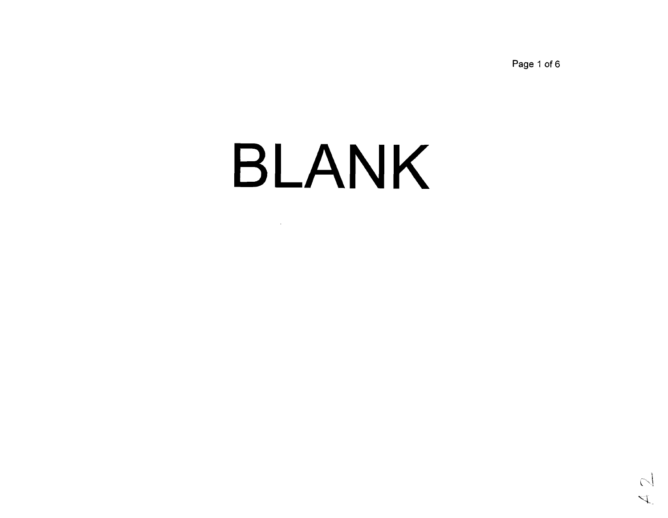Page 1 of 6

# **BLANK**

 $\sim 100$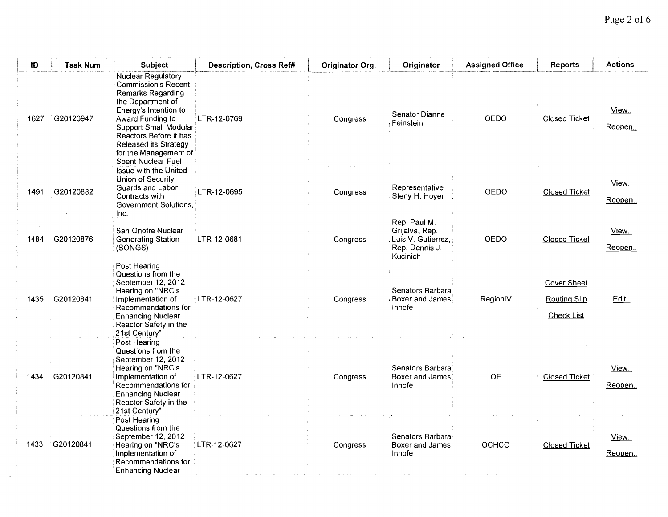| ID   | <b>Task Num</b> | <b>Subject</b>                                                                                                                                                                                                                                                            | <b>Description, Cross Ref#</b> | Originator Org. | Originator                                                                         | <b>Assigned Office</b> | Reports                                                 | <b>Actions</b>  |
|------|-----------------|---------------------------------------------------------------------------------------------------------------------------------------------------------------------------------------------------------------------------------------------------------------------------|--------------------------------|-----------------|------------------------------------------------------------------------------------|------------------------|---------------------------------------------------------|-----------------|
| 1627 | G20120947       | <b>Nuclear Regulatory</b><br><b>Commission's Recent</b><br>Remarks Regarding<br>the Department of<br>Energy's Intention to<br>Award Funding to<br>Support Small Modular<br>Reactors Before it has<br>Released its Strategy<br>for the Management of<br>Spent Nuclear Fuel | LTR-12-0769                    | Congress        | Senator Dianne<br>Feinstein                                                        | <b>OEDO</b>            | <b>Closed Ticket</b>                                    | View<br>Reopen  |
| 1491 | G20120882       | Issue with the United<br>Union of Security<br>Guards and Labor<br>Contracts with<br>Government Solutions,                                                                                                                                                                 | LTR-12-0695                    | Congress        | Representative<br>Steny H. Hoyer                                                   | OEDO                   | <b>Closed Ticket</b>                                    | View<br>Reopen  |
| 1484 | G20120876       | Inc.<br>San Onofre Nuclear<br><b>Generating Station</b><br>(SONGS)                                                                                                                                                                                                        | LTR-12-0681                    | Congress        | Rep. Paul M.<br>Grijalva, Rep.<br>Luis V. Gutierrez,<br>Rep. Dennis J.<br>Kucinich | <b>OEDO</b>            | <b>Closed Ticket</b>                                    | View<br>Reopen  |
| 1435 | G20120841       | Post Hearing<br>Questions from the<br>September 12, 2012<br>Hearing on "NRC's<br>Implementation of<br>Recommendations for<br><b>Enhancing Nuclear</b><br>Reactor Safety in the<br>21st Century"                                                                           | LTR-12-0627                    | Congress        | Senators Barbara<br>Boxer and James<br>Inhofe                                      | RegionIV               | <b>Cover Sheet</b><br>Routing Slip<br><b>Check List</b> | Edit.           |
| 1434 | G20120841       | Post Hearing<br>Questions from the<br>September 12, 2012<br>Hearing on "NRC's<br>Implementation of<br>Recommendations for<br><b>Enhancing Nuclear</b><br>Reactor Safety in the<br>21st Century"                                                                           | LTR-12-0627                    | Congress        | Senators Barbara<br>Boxer and James<br>Inhofe                                      | <b>OE</b>              | <b>Closed Ticket</b>                                    | View.<br>Reopen |
| 1433 | G20120841       | Post Hearing<br>Questions from the<br>September 12, 2012<br>Hearing on "NRC's<br>Implementation of<br>Recommendations for<br><b>Enhancing Nuclear</b>                                                                                                                     | LTR-12-0627                    | Congress        | Senators Barbara<br>Boxer and James<br>Inhofe                                      | OCHCO                  | <b>Closed Ticket</b>                                    | View.<br>Reopen |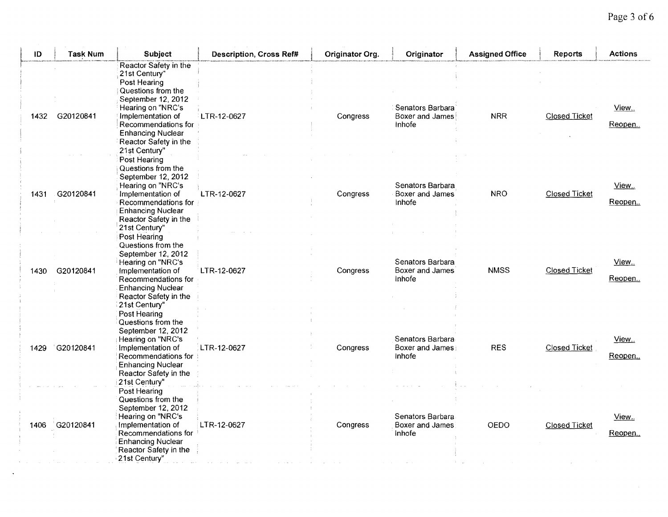| ID   | <b>Task Num</b> | Subject                                                                                                                                                                                                                                   | <b>Description, Cross Ref#</b> | Originator Org. | Originator                                           | <b>Assigned Office</b> | Reports              | <b>Actions</b>   |
|------|-----------------|-------------------------------------------------------------------------------------------------------------------------------------------------------------------------------------------------------------------------------------------|--------------------------------|-----------------|------------------------------------------------------|------------------------|----------------------|------------------|
| 1432 | G20120841       | Reactor Safety in the<br>21st Century"<br>Post Hearing<br>Questions from the<br>September 12, 2012<br>Hearing on "NRC's<br>Implementation of<br>Recommendations for<br><b>Enhancing Nuclear</b><br>Reactor Safety in the<br>21st Century" | LTR-12-0627                    | Congress        | Senators Barbara<br>Boxer and James<br>Inhofe        | <b>NRR</b>             | <b>Closed Ticket</b> | View.<br>Reopen. |
| 1431 | G20120841       | Post Hearing<br>Questions from the<br>September 12, 2012<br>Hearing on "NRC's<br>Implementation of<br>Recommendations for<br><b>Enhancing Nuclear</b><br>Reactor Safety in the<br>21st Century"                                           | LTR-12-0627                    | Congress        | Senators Barbara<br>Boxer and James<br>Inhofe        | <b>NRO</b>             | <b>Closed Ticket</b> | View.<br>Reopen  |
| 1430 | G20120841       | Post Hearing<br>Questions from the<br>September 12, 2012<br>Hearing on "NRC's<br>Implementation of<br>Recommendations for<br><b>Enhancing Nuclear</b><br>Reactor Safety in the<br>21st Century"                                           | LTR-12-0627                    | Congress        | Senators Barbara<br>Boxer and James<br><b>Inhofe</b> | <b>NMSS</b>            | <b>Closed Ticket</b> | View.<br>Reopen  |
| 1429 | G20120841       | Post Hearing<br>Questions from the<br>September 12, 2012<br>Hearing on "NRC's<br>Implementation of<br>Recommendations for<br><b>Enhancing Nuclear</b><br>Reactor Safety in the<br>21st Century"                                           | LTR-12-0627                    | Congress        | Senators Barbara<br>Boxer and James<br>Inhofe        | <b>RES</b>             | <b>Closed Ticket</b> | View<br>Reopen   |
| 1406 | G20120841       | Post Hearing<br>Questions from the<br>September 12, 2012<br>Hearing on "NRC's<br>Implementation of<br>Recommendations for<br><b>Enhancing Nuclear</b><br>Reactor Safety in the<br>21st Century"                                           | LTR-12-0627                    | Congress        | Senators Barbara<br>Boxer and James<br>Innofe        | OEDO                   | <b>Closed Ticket</b> | View.<br>Reopen. |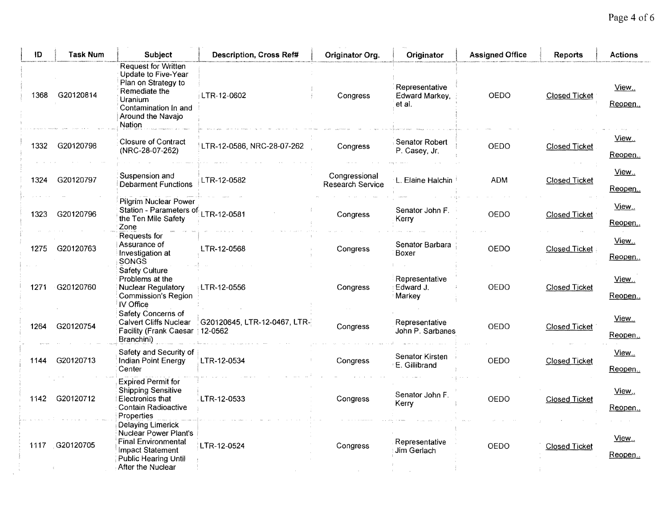| ID   | <b>Task Num</b> | Subject                                                                                                                                                     | <b>Description, Cross Ref#</b> | Originator Org.                   | Originator                                 | <b>Assigned Office</b> | <b>Reports</b>       | <b>Actions</b>        |
|------|-----------------|-------------------------------------------------------------------------------------------------------------------------------------------------------------|--------------------------------|-----------------------------------|--------------------------------------------|------------------------|----------------------|-----------------------|
| 1368 | G20120814       | <b>Request for Written</b><br>Update to Five-Year<br>Plan on Strategy to<br>Remediate the<br>Uranium<br>Contamination In and<br>Around the Navajo<br>Nation | LTR-12-0602                    | Congress                          | Representative<br>Edward Markey,<br>et al. | <b>OEDO</b>            | <b>Closed Ticket</b> | View.<br>Reopen       |
| 1332 | G20120798       | <b>Closure of Contract</b><br>(NRC-28-07-262)                                                                                                               | LTR-12-0586, NRC-28-07-262     | Congress                          | Senator Robert<br>P. Casey, Jr.            | <b>OEDO</b>            | <b>Closed Ticket</b> | View<br><u>Reopen</u> |
| 1324 | G20120797       | Suspension and<br><b>Debarment Functions</b>                                                                                                                | LTR-12-0582                    | Congressional<br>Research Service | L. Elaine Halchin                          | <b>ADM</b>             | <b>Closed Ticket</b> | View<br>Reopen        |
| 1323 | G20120796       | <b>Pilgrim Nuclear Power</b><br>Station - Parameters of LTR-12-0581<br>the Ten Mile Safety<br>Zone                                                          |                                | Congress                          | Senator John F.<br>Kerry                   | OEDO                   | <b>Closed Ticket</b> | View.<br>Reopen       |
| 1275 | G20120763       | Requests for<br>Assurance of<br>Investigation at<br>SONGS                                                                                                   | LTR-12-0568                    | Congress                          | Senator Barbara<br>Boxer                   | OEDO                   | <b>Closed Ticket</b> | View<br>Reopen        |
| 1271 | G20120760       | <b>Safety Culture</b><br>Problems at the<br>Nuclear Regulatory<br><b>Commission's Region</b><br>IV Office                                                   | LTR-12-0556                    | Congress                          | Representative<br>Edward J.<br>Markey      | OEDO                   | <b>Closed Ticket</b> | View.<br>Reopen       |
| 1264 | G20120754       | Safety Concerns of<br><b>Calvert Cliffs Nuclear</b><br>Facility (Frank Caesar 12-0562<br>Branchini)                                                         | G20120645, LTR-12-0467, LTR-   | Congress                          | Representative<br>John P. Sarbanes         | OEDO                   | <b>Closed Ticket</b> | View.<br>Reopen.      |
| 1144 | G20120713       | Safety and Security of<br>Indian Point Energy<br>Center                                                                                                     | LTR-12-0534                    | Congress                          | Senator Kirsten<br>E. Gillibrand           | OEDO                   | <b>Closed Ticket</b> | View.<br>Reopen.      |
| 1142 | G20120712       | <b>Expired Permit for</b><br><b>Shipping Sensitive</b><br>Electronics that<br>Contain Radioactive<br>Properties                                             | LTR-12-0533                    | Congress                          | Senator John F.<br>Kerry                   | <b>OEDO</b>            | <b>Closed Ticket</b> | View<br><u>Reopen</u> |
| 1117 | G20120705       | <b>Delaying Limerick</b><br>Nuclear Power Plant's<br><b>Final Environmental</b><br>Impact Statement<br>Public Hearing Until<br>After the Nuclear            | LTR-12-0524                    | Congress                          | Representative<br>Jim Gerlach              | OEDO                   | <b>Closed Ticket</b> | View<br>Reopen        |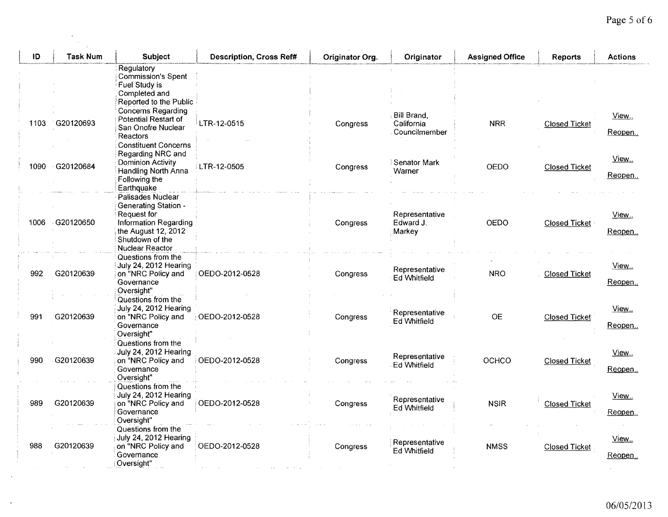| ID   | <b>Task Num</b> | <b>Subject</b>                                                                                                                                               | <b>Description, Cross Ref#</b> | Originator Org. | Originator                                       | <b>Assigned Office</b> | Reports              | <b>Actions</b>         |
|------|-----------------|--------------------------------------------------------------------------------------------------------------------------------------------------------------|--------------------------------|-----------------|--------------------------------------------------|------------------------|----------------------|------------------------|
|      |                 | Regulatory<br><b>Commission's Spent</b><br>Fuel Study is<br>Completed and<br>Reported to the Public                                                          |                                |                 |                                                  |                        |                      |                        |
| 1103 | G20120693       | <b>Concerns Regarding</b><br>Potential Restart of<br>San Onofre Nuclear<br>Reactors                                                                          | LTR-12-0515                    | Congress        | <b>Bill Brand</b><br>California<br>Councilmember | <b>NRR</b>             | <b>Closed Ticket</b> | View<br>Reopen         |
| 1090 | G20120684       | <b>Constituent Concerns</b><br>Regarding NRC and<br>Dominion Activity<br>Handling North Anna<br>Following the<br>Earthquake                                  | LTR-12-0505                    | Congress        | Senator Mark<br>Warner                           | <b>OEDO</b>            | <b>Closed Ticket</b> | View.<br><u>Reopen</u> |
| 1006 | $-$ G20120650   | Palisades Nuclear<br>Generating Station -<br>Request for<br><b>Information Regarding</b><br>the August 12, 2012<br>Shutdown of the<br><b>Nuclear Reactor</b> |                                | Congress        | Representative<br>Edward J.<br>Markey            | <b>OEDO</b>            | <b>Closed Ticket</b> | View<br>Reopen         |
| 992  | G20120639       | Questions from the<br>July 24, 2012 Hearing<br>on "NRC Policy and<br>Governance<br>Oversight"                                                                | OEDO-2012-0528                 | Congress        | Representative<br><b>Ed Whitfield</b>            | <b>NRO</b>             | <b>Closed Ticket</b> | View.<br>Reopen        |
| 991  | G20120639       | Questions from the<br>July 24, 2012 Hearing<br>on "NRC Policy and<br>Governance<br>Oversight"                                                                | OEDO-2012-0528                 | Congress        | Representative<br><b>Ed Whitfield</b>            | <b>OE</b>              | <b>Closed Ticket</b> | View.<br>Reopen        |
| 990  | G20120639       | Questions from the<br>July 24, 2012 Hearing<br>on "NRC Policy and<br>Governance<br>Oversight"                                                                | OEDO-2012-0528                 | Congress        | Representative<br>Ed Whitfield                   | OCHCO                  | <b>Closed Ticket</b> | View.<br>Reopen        |
| 989  | G20120639       | Questions from the<br>July 24, 2012 Hearing<br>on "NRC Policy and<br>Governance<br>Oversight"                                                                | OEDO-2012-0528                 | Congress        | Representative<br>Ed Whitfield                   | <b>NSIR</b>            | <b>Closed Ticket</b> | View.<br>Reopen        |
| 988  | G20120639       | Questions from the<br>July 24, 2012 Hearing<br>on "NRC Policy and<br>Governance<br>Oversight"                                                                | OEDO-2012-0528                 | Congress        | Representative<br>Ed Whitfield                   | <b>NMSS</b>            | <b>Closed Ticket</b> | View<br>Reopen         |